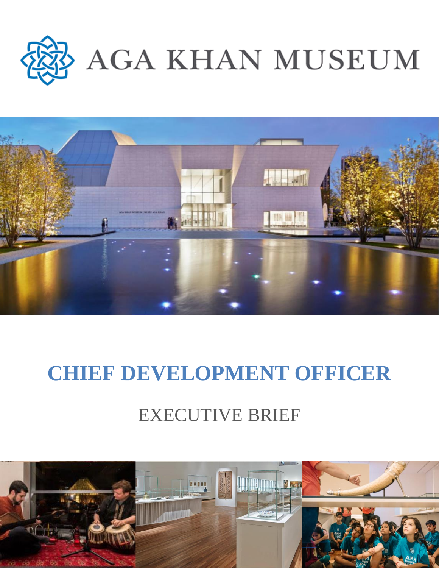



# **CHIEF DEVELOPMENT OFFICER**

# EXECUTIVE BRIEF

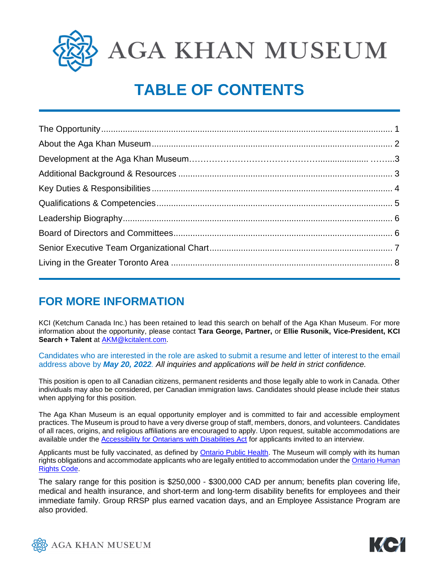

**AGA KHAN MUSEUM** 

## **TABLE OF CONTENTS**

### **FOR MORE INFORMATION**

KCI (Ketchum Canada Inc.) has been retained to lead this search on behalf of the Aga Khan Museum. For more information about the opportunity, please contact **Tara George, Partner,** or **Ellie Rusonik, Vice-President, KCI Search + Talent** at [AKM@kcitalent.com.](mailto:AKM@kcitalent.com)

Candidates who are interested in the role are asked to submit a resume and letter of interest to the email address above by *May 20, 2022. All inquiries and applications will be held in strict confidence.* 

This position is open to all Canadian citizens, permanent residents and those legally able to work in Canada. Other individuals may also be considered, per Canadian immigration laws. Candidates should please include their status when applying for this position.

The Aga Khan Museum is an equal opportunity employer and is committed to fair and accessible employment practices. The Museum is proud to have a very diverse group of staff, members, donors, and volunteers. Candidates of all races, origins, and religious affiliations are encouraged to apply. Upon request, suitable accommodations are available under the [Accessibility for Ontarians with Disabilities Act](https://www.aoda.ca/) for applicants invited to an interview.

Applicants must be fully vaccinated, as defined by [Ontario Public Health.](https://www.publichealthontario.ca/) The Museum will comply with its human rights obligations and accommodate applicants who are legally entitled to accommodation under the Ontario Human [Rights Code.](https://www.ohrc.on.ca/en/ontario-human-rights-code)

The salary range for this position is \$250,000 - \$300,000 CAD per annum; benefits plan covering life, medical and health insurance, and short-term and long-term disability benefits for employees and their immediate family. Group RRSP plus earned vacation days, and an Employee Assistance Program are also provided.



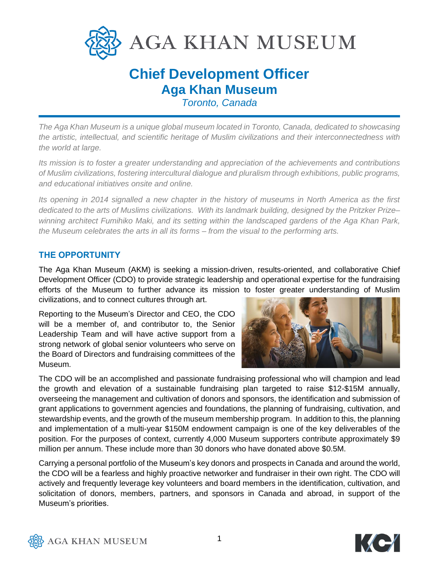

### **Chief Development Officer Aga Khan Museum**

*Toronto, Canada*

*The Aga Khan Museum is a unique global museum located in Toronto, Canada, dedicated to showcasing the artistic, intellectual, and scientific heritage of Muslim civilizations and their interconnectedness with the world at large.*

*Its mission is to foster a greater understanding and appreciation of the achievements and contributions of Muslim civilizations, fostering intercultural dialogue and pluralism through exhibitions, public programs, and educational initiatives onsite and online.*

*Its opening in 2014 signalled a new chapter in the history of museums in North America as the first dedicated to the arts of Muslims civilizations. With its landmark building, designed by the Pritzker Prize– winning architect Fumihiko Maki, and its setting within the landscaped gardens of the Aga Khan Park, the Museum celebrates the arts in all its forms – from the visual to the performing arts.* 

#### **THE OPPORTUNITY**

The Aga Khan Museum (AKM) is seeking a mission-driven, results-oriented, and collaborative Chief Development Officer (CDO) to provide strategic leadership and operational expertise for the fundraising efforts of the Museum to further advance its mission to foster greater understanding of Muslim civilizations, and to connect cultures through art.

Reporting to the Museum's Director and CEO, the CDO will be a member of, and contributor to, the Senior Leadership Team and will have active support from a strong network of global senior volunteers who serve on the Board of Directors and fundraising committees of the Museum.



The CDO will be an accomplished and passionate fundraising professional who will champion and lead the growth and elevation of a sustainable fundraising plan targeted to raise \$12-\$15M annually, overseeing the management and cultivation of donors and sponsors, the identification and submission of grant applications to government agencies and foundations, the planning of fundraising, cultivation, and stewardship events, and the growth of the museum membership program. In addition to this, the planning and implementation of a multi-year \$150M endowment campaign is one of the key deliverables of the position. For the purposes of context, currently 4,000 Museum supporters contribute approximately \$9 million per annum. These include more than 30 donors who have donated above \$0.5M.

Carrying a personal portfolio of the Museum's key donors and prospects in Canada and around the world, the CDO will be a fearless and highly proactive networker and fundraiser in their own right. The CDO will actively and frequently leverage key volunteers and board members in the identification, cultivation, and solicitation of donors, members, partners, and sponsors in Canada and abroad, in support of the Museum's priorities.



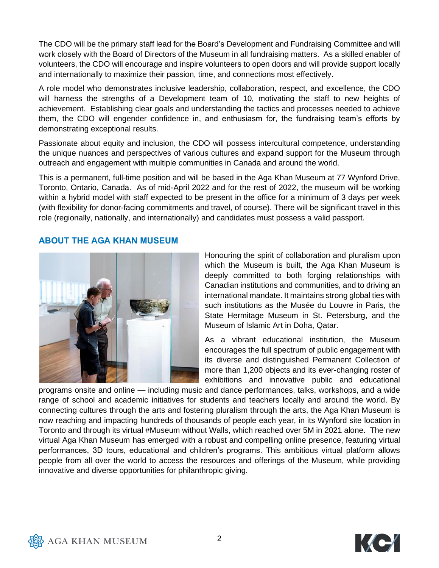The CDO will be the primary staff lead for the Board's Development and Fundraising Committee and will work closely with the Board of Directors of the Museum in all fundraising matters. As a skilled enabler of volunteers, the CDO will encourage and inspire volunteers to open doors and will provide support locally and internationally to maximize their passion, time, and connections most effectively.

A role model who demonstrates inclusive leadership, collaboration, respect, and excellence, the CDO will harness the strengths of a Development team of 10, motivating the staff to new heights of achievement. Establishing clear goals and understanding the tactics and processes needed to achieve them, the CDO will engender confidence in, and enthusiasm for, the fundraising team's efforts by demonstrating exceptional results.

Passionate about equity and inclusion, the CDO will possess intercultural competence, understanding the unique nuances and perspectives of various cultures and expand support for the Museum through outreach and engagement with multiple communities in Canada and around the world.

This is a permanent, full-time position and will be based in the Aga Khan Museum at 77 Wynford Drive, Toronto, Ontario, Canada. As of mid-April 2022 and for the rest of 2022, the museum will be working within a hybrid model with staff expected to be present in the office for a minimum of 3 days per week (with flexibility for donor-facing commitments and travel, of course). There will be significant travel in this role (regionally, nationally, and internationally) and candidates must possess a valid passport.

#### **ABOUT THE AGA KHAN MUSEUM**



Honouring the spirit of collaboration and pluralism upon which the Museum is built, the Aga Khan Museum is deeply committed to both forging relationships with Canadian institutions and communities, and to driving an international mandate. It maintains strong global ties with such institutions as the Musée du Louvre in Paris, the State Hermitage Museum in St. Petersburg, and the Museum of Islamic Art in Doha, Qatar.

As a vibrant educational institution, the Museum encourages the full spectrum of public engagement with its diverse and distinguished Permanent Collection of more than 1,200 objects and its ever-changing roster of exhibitions and innovative public and educational

programs onsite and online — including music and dance performances, talks, workshops, and a wide range of school and academic initiatives for students and teachers locally and around the world. By connecting cultures through the arts and fostering pluralism through the arts, the Aga Khan Museum is now reaching and impacting hundreds of thousands of people each year, in its Wynford site location in Toronto and through its virtual #Museum without Walls, which reached over 5M in 2021 alone. The new virtual Aga Khan Museum has emerged with a robust and compelling online presence, featuring virtual performances, 3D tours, educational and children's programs. This ambitious virtual platform allows people from all over the world to access the resources and offerings of the Museum, while providing innovative and diverse opportunities for philanthropic giving.



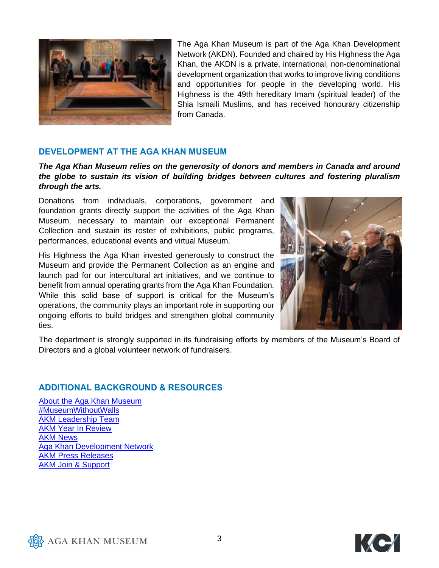

The Aga Khan Museum is part of the Aga Khan Development Network (AKDN). Founded and chaired by His Highness the Aga Khan, the AKDN is a private, international, non-denominational development organization that works to improve living conditions and opportunities for people in the developing world. His Highness is the 49th hereditary Imam (spiritual leader) of the Shia Ismaili Muslims, and has received honourary citizenship from Canada.

#### **DEVELOPMENT AT THE AGA KHAN MUSEUM**

*The Aga Khan Museum relies on the generosity of donors and members in Canada and around the globe to sustain its vision of building bridges between cultures and fostering pluralism through the arts.*

Donations from individuals, corporations, government and foundation grants directly support the activities of the Aga Khan Museum, necessary to maintain our exceptional Permanent Collection and sustain its roster of exhibitions, public programs, performances, educational events and virtual Museum.

His Highness the Aga Khan invested generously to construct the Museum and provide the Permanent Collection as an engine and launch pad for our intercultural art initiatives, and we continue to benefit from annual operating grants from the Aga Khan Foundation. While this solid base of support is critical for the Museum's operations, the community plays an important role in supporting our ongoing efforts to build bridges and strengthen global community ties.



The department is strongly supported in its fundraising efforts by members of the Museum's Board of Directors and a global volunteer network of fundraisers.

#### **ADDITIONAL BACKGROUND & RESOURCES**

[About the Aga Khan Museum](https://www.agakhanmuseum.org/about/index.html) [#MuseumWithoutWalls](https://agakhanmuseum.org/museumwithoutwalls/index.html) AKM [Leadership Team](https://www.agakhanmuseum.org/about/leadership-team.html)  AKM Year [In Review](https://agakhanmuseum.org/about/a-year-in-review.html)  [AKM News](https://www.agakhanmuseum.org/news) [Aga Khan Development Network](https://agakhanmuseum.org/about/aga-khan-development-network.html) AKM [Press Releases](https://agakhanmuseum.org/about/press.html) [AKM Join & Support](https://agakhanmuseum.org/support/index.html)



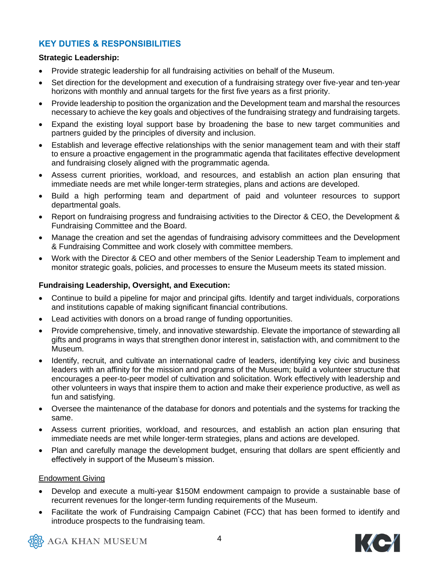#### **KEY DUTIES & RESPONSIBILITIES**

#### **Strategic Leadership:**

- Provide strategic leadership for all fundraising activities on behalf of the Museum.
- Set direction for the development and execution of a fundraising strategy over five-year and ten-year horizons with monthly and annual targets for the first five years as a first priority.
- Provide leadership to position the organization and the Development team and marshal the resources necessary to achieve the key goals and objectives of the fundraising strategy and fundraising targets.
- Expand the existing loyal support base by broadening the base to new target communities and partners guided by the principles of diversity and inclusion.
- Establish and leverage effective relationships with the senior management team and with their staff to ensure a proactive engagement in the programmatic agenda that facilitates effective development and fundraising closely aligned with the programmatic agenda.
- Assess current priorities, workload, and resources, and establish an action plan ensuring that immediate needs are met while longer-term strategies, plans and actions are developed.
- Build a high performing team and department of paid and volunteer resources to support departmental goals.
- Report on fundraising progress and fundraising activities to the Director & CEO, the Development & Fundraising Committee and the Board.
- Manage the creation and set the agendas of fundraising advisory committees and the Development & Fundraising Committee and work closely with committee members.
- Work with the Director & CEO and other members of the Senior Leadership Team to implement and monitor strategic goals, policies, and processes to ensure the Museum meets its stated mission.

#### **Fundraising Leadership, Oversight, and Execution:**

- Continue to build a pipeline for major and principal gifts. Identify and target individuals, corporations and institutions capable of making significant financial contributions.
- Lead activities with donors on a broad range of funding opportunities.
- Provide comprehensive, timely, and innovative stewardship. Elevate the importance of stewarding all gifts and programs in ways that strengthen donor interest in, satisfaction with, and commitment to the Museum.
- Identify, recruit, and cultivate an international cadre of leaders, identifying key civic and business leaders with an affinity for the mission and programs of the Museum; build a volunteer structure that encourages a peer-to-peer model of cultivation and solicitation. Work effectively with leadership and other volunteers in ways that inspire them to action and make their experience productive, as well as fun and satisfying.
- Oversee the maintenance of the database for donors and potentials and the systems for tracking the same.
- Assess current priorities, workload, and resources, and establish an action plan ensuring that immediate needs are met while longer-term strategies, plans and actions are developed.
- Plan and carefully manage the development budget, ensuring that dollars are spent efficiently and effectively in support of the Museum's mission.

#### Endowment Giving

- Develop and execute a multi-year \$150M endowment campaign to provide a sustainable base of recurrent revenues for the longer-term funding requirements of the Museum.
- Facilitate the work of Fundraising Campaign Cabinet (FCC) that has been formed to identify and introduce prospects to the fundraising team.



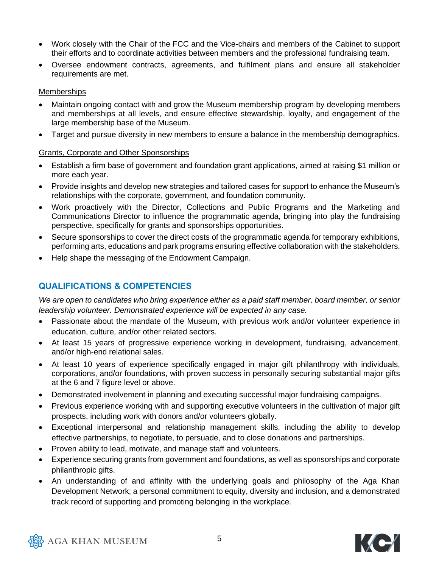- Work closely with the Chair of the FCC and the Vice-chairs and members of the Cabinet to support their efforts and to coordinate activities between members and the professional fundraising team.
- Oversee endowment contracts, agreements, and fulfilment plans and ensure all stakeholder requirements are met.

#### **Memberships**

- Maintain ongoing contact with and grow the Museum membership program by developing members and memberships at all levels, and ensure effective stewardship, loyalty, and engagement of the large membership base of the Museum.
- Target and pursue diversity in new members to ensure a balance in the membership demographics.

#### Grants, Corporate and Other Sponsorships

- Establish a firm base of government and foundation grant applications, aimed at raising \$1 million or more each year.
- Provide insights and develop new strategies and tailored cases for support to enhance the Museum's relationships with the corporate, government, and foundation community.
- Work proactively with the Director, Collections and Public Programs and the Marketing and Communications Director to influence the programmatic agenda, bringing into play the fundraising perspective, specifically for grants and sponsorships opportunities.
- Secure sponsorships to cover the direct costs of the programmatic agenda for temporary exhibitions, performing arts, educations and park programs ensuring effective collaboration with the stakeholders.
- Help shape the messaging of the Endowment Campaign.

#### **QUALIFICATIONS & COMPETENCIES**

*We are open to candidates who bring experience either as a paid staff member, board member, or senior leadership volunteer. Demonstrated experience will be expected in any case.*

- Passionate about the mandate of the Museum, with previous work and/or volunteer experience in education, culture, and/or other related sectors.
- At least 15 years of progressive experience working in development, fundraising, advancement, and/or high-end relational sales.
- At least 10 years of experience specifically engaged in major gift philanthropy with individuals, corporations, and/or foundations, with proven success in personally securing substantial major gifts at the 6 and 7 figure level or above.
- Demonstrated involvement in planning and executing successful major fundraising campaigns.
- Previous experience working with and supporting executive volunteers in the cultivation of major gift prospects, including work with donors and/or volunteers globally.
- Exceptional interpersonal and relationship management skills, including the ability to develop effective partnerships, to negotiate, to persuade, and to close donations and partnerships.
- Proven ability to lead, motivate, and manage staff and volunteers.
- Experience securing grants from government and foundations, as well as sponsorships and corporate philanthropic gifts.
- An understanding of and affinity with the underlying goals and philosophy of the Aga Khan Development Network; a personal commitment to equity, diversity and inclusion, and a demonstrated track record of supporting and promoting belonging in the workplace.



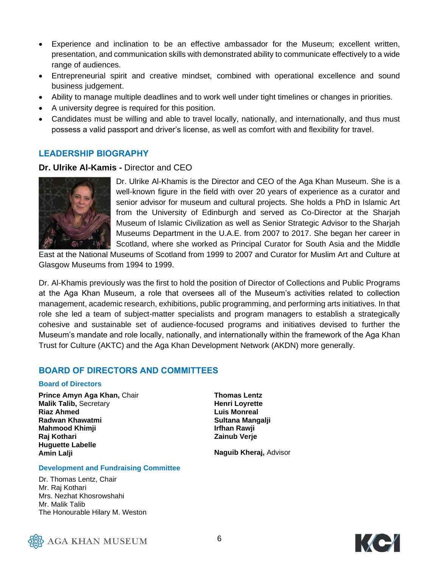- Experience and inclination to be an effective ambassador for the Museum; excellent written, presentation, and communication skills with demonstrated ability to communicate effectively to a wide range of audiences.
- Entrepreneurial spirit and creative mindset, combined with operational excellence and sound business judgement.
- Ability to manage multiple deadlines and to work well under tight timelines or changes in priorities.
- A university degree is required for this position.
- Candidates must be willing and able to travel locally, nationally, and internationally, and thus must possess a valid passport and driver's license, as well as comfort with and flexibility for travel.

#### **LEADERSHIP BIOGRAPHY**

#### **Dr. Ulrike Al-Kamis -** Director and CEO



Dr. Ulrike Al-Khamis is the Director and CEO of the Aga Khan Museum. She is a well-known figure in the field with over 20 years of experience as a curator and senior advisor for museum and cultural projects. She holds a PhD in Islamic Art from the University of Edinburgh and served as Co-Director at the Sharjah Museum of Islamic Civilization as well as Senior Strategic Advisor to the Sharjah Museums Department in the U.A.E. from 2007 to 2017. She began her career in Scotland, where she worked as Principal Curator for South Asia and the Middle

East at the National Museums of Scotland from 1999 to 2007 and Curator for Muslim Art and Culture at Glasgow Museums from 1994 to 1999.

Dr. Al-Khamis previously was the first to hold the position of Director of Collections and Public Programs at the Aga Khan Museum, a role that oversees all of the Museum's activities related to collection management, academic research, exhibitions, public programming, and performing arts initiatives. In that role she led a team of subject-matter specialists and program managers to establish a strategically cohesive and sustainable set of audience-focused programs and initiatives devised to further the Museum's mandate and role locally, nationally, and internationally within the framework of the Aga Khan Trust for Culture (AKTC) and the Aga Khan Development Network (AKDN) more generally.

#### **BOARD OF DIRECTORS AND COMMITTEES**

#### **Board of Directors**

**Prince Amyn Aga Khan,** Chair **Malik Talib,** Secretary **Riaz Ahmed Radwan Khawatmi Mahmood Khimji Raj Kothari Huguette Labelle Amin Lalji**

**Thomas Lentz Henri Loyrette Luis Monreal Sultana Mangalji Irfhan Rawji Zainub Verje**

**Naguib Kheraj,** Advisor

#### **Development and Fundraising Committee**

Dr. Thomas Lentz, Chair Mr. Raj Kothari Mrs. Nezhat Khosrowshahi Mr. Malik Talib The Honourable Hilary M. Weston



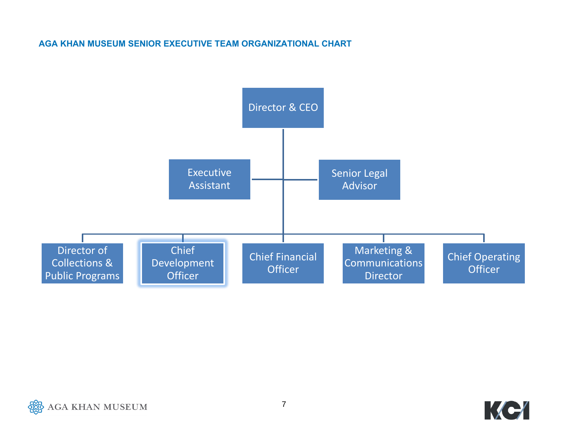#### **AGA KHAN MUSEUM SENIOR EXECUTIVE TEAM ORGANIZATIONAL CHART**